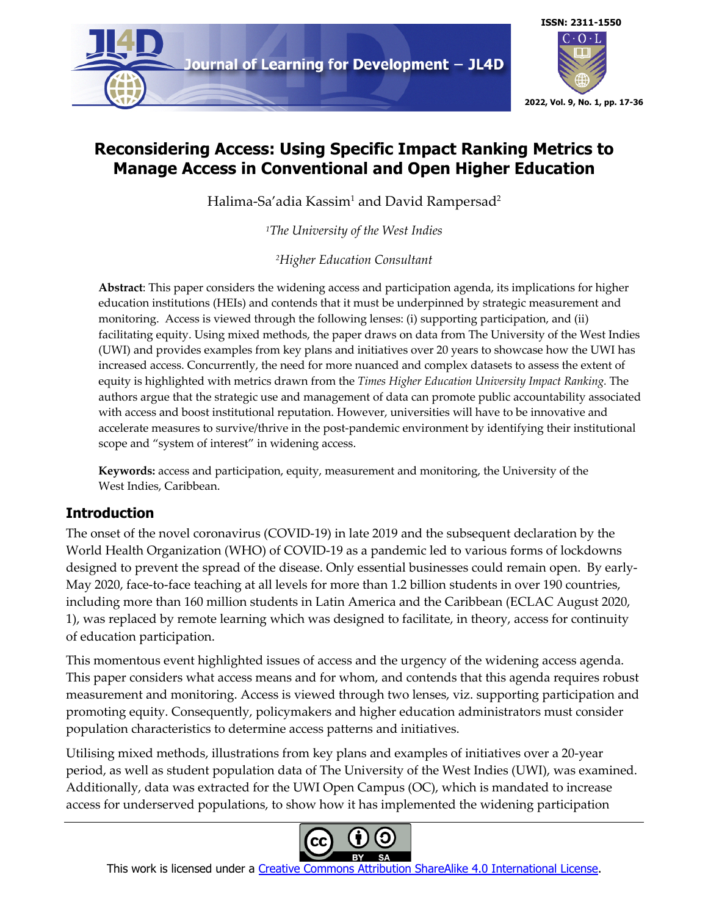

# **Reconsidering Access: Using Specific Impact Ranking Metrics to Manage Access in Conventional and Open Higher Education**

Halima-Sa'adia Kassim<sup>1</sup> and David Rampersad<sup>2</sup>

*1The University of the West Indies*

*2Higher Education Consultant*

**Abstract**: This paper considers the widening access and participation agenda, its implications for higher education institutions (HEIs) and contends that it must be underpinned by strategic measurement and monitoring. Access is viewed through the following lenses: (i) supporting participation, and (ii) facilitating equity. Using mixed methods, the paper draws on data from The University of the West Indies (UWI) and provides examples from key plans and initiatives over 20 years to showcase how the UWI has increased access. Concurrently, the need for more nuanced and complex datasets to assess the extent of equity is highlighted with metrics drawn from the *Times Higher Education University Impact Ranking.* The authors argue that the strategic use and management of data can promote public accountability associated with access and boost institutional reputation. However, universities will have to be innovative and accelerate measures to survive/thrive in the post-pandemic environment by identifying their institutional scope and "system of interest" in widening access.

**Keywords:** access and participation, equity, measurement and monitoring, the University of the West Indies, Caribbean.

## **Introduction**

The onset of the novel coronavirus (COVID-19) in late 2019 and the subsequent declaration by the World Health Organization (WHO) of COVID-19 as a pandemic led to various forms of lockdowns designed to prevent the spread of the disease. Only essential businesses could remain open. By early-May 2020, face-to-face teaching at all levels for more than 1.2 billion students in over 190 countries, including more than 160 million students in Latin America and the Caribbean (ECLAC August 2020, 1), was replaced by remote learning which was designed to facilitate, in theory, access for continuity of education participation.

This momentous event highlighted issues of access and the urgency of the widening access agenda. This paper considers what access means and for whom, and contends that this agenda requires robust measurement and monitoring. Access is viewed through two lenses, viz. supporting participation and promoting equity. Consequently, policymakers and higher education administrators must consider population characteristics to determine access patterns and initiatives.

Utilising mixed methods, illustrations from key plans and examples of initiatives over a 20-year period, as well as student population data of The University of the West Indies (UWI), was examined. Additionally, data was extracted for the UWI Open Campus (OC), which is mandated to increase access for underserved populations, to show how it has implemented the widening participation



This work is licensed under a Creative Commons Attribution ShareAlike 4.0 International License.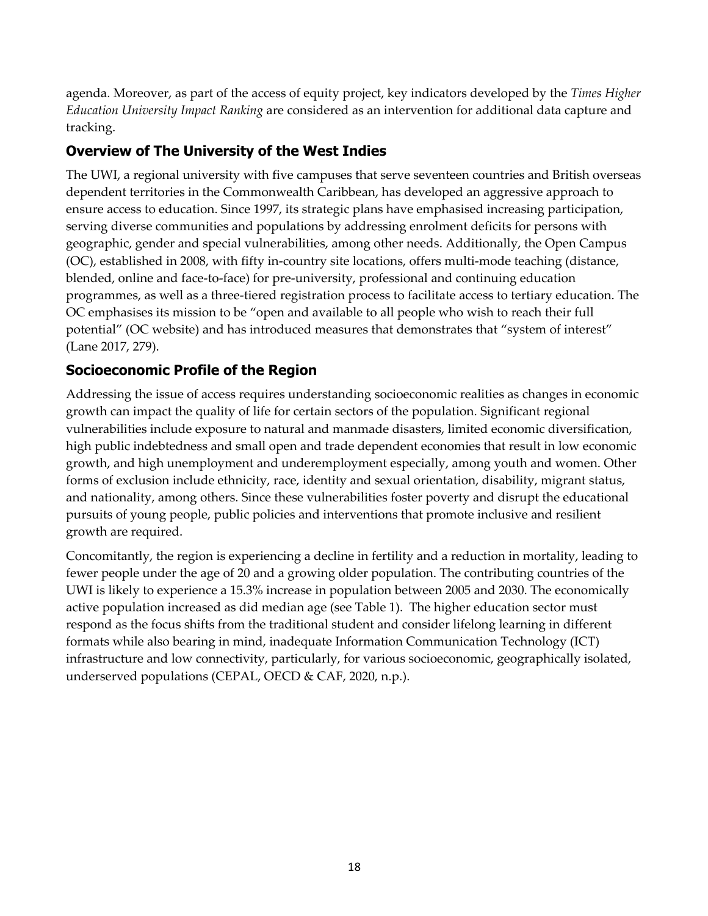agenda. Moreover, as part of the access of equity project, key indicators developed by the *Times Higher Education University Impact Ranking* are considered as an intervention for additional data capture and tracking.

## **Overview of The University of the West Indies**

The UWI, a regional university with five campuses that serve seventeen countries and British overseas dependent territories in the Commonwealth Caribbean, has developed an aggressive approach to ensure access to education. Since 1997, its strategic plans have emphasised increasing participation, serving diverse communities and populations by addressing enrolment deficits for persons with geographic, gender and special vulnerabilities, among other needs. Additionally, the Open Campus (OC), established in 2008, with fifty in-country site locations, offers multi-mode teaching (distance, blended, online and face-to-face) for pre-university, professional and continuing education programmes, as well as a three-tiered registration process to facilitate access to tertiary education. The OC emphasises its mission to be "open and available to all people who wish to reach their full potential" (OC website) and has introduced measures that demonstrates that "system of interest" (Lane 2017, 279).

## **Socioeconomic Profile of the Region**

Addressing the issue of access requires understanding socioeconomic realities as changes in economic growth can impact the quality of life for certain sectors of the population. Significant regional vulnerabilities include exposure to natural and manmade disasters, limited economic diversification, high public indebtedness and small open and trade dependent economies that result in low economic growth, and high unemployment and underemployment especially, among youth and women. Other forms of exclusion include ethnicity, race, identity and sexual orientation, disability, migrant status, and nationality, among others. Since these vulnerabilities foster poverty and disrupt the educational pursuits of young people, public policies and interventions that promote inclusive and resilient growth are required.

Concomitantly, the region is experiencing a decline in fertility and a reduction in mortality, leading to fewer people under the age of 20 and a growing older population. The contributing countries of the UWI is likely to experience a 15.3% increase in population between 2005 and 2030. The economically active population increased as did median age (see Table 1). The higher education sector must respond as the focus shifts from the traditional student and consider lifelong learning in different formats while also bearing in mind, inadequate Information Communication Technology (ICT) infrastructure and low connectivity, particularly, for various socioeconomic, geographically isolated, underserved populations (CEPAL, OECD & CAF, 2020, n.p.).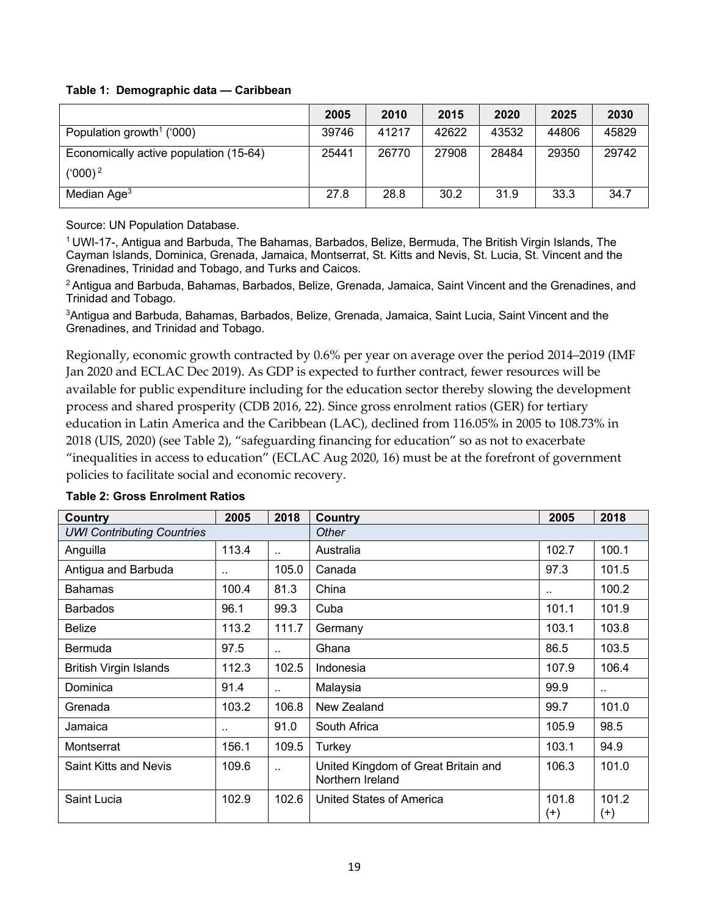#### **Table 1: Demographic data — Caribbean**

|                                        | 2005  | 2010  | 2015  | 2020  | 2025  | 2030  |
|----------------------------------------|-------|-------|-------|-------|-------|-------|
| Population growth <sup>1</sup> ('000)  | 39746 | 41217 | 42622 | 43532 | 44806 | 45829 |
| Economically active population (15-64) | 25441 | 26770 | 27908 | 28484 | 29350 | 29742 |
| $(000)^2$                              |       |       |       |       |       |       |
| Median Age <sup>3</sup>                | 27.8  | 28.8  | 30.2  | 31.9  | 33.3  | 34.7  |

Source: UN Population Database.

<sup>1</sup> UWI-17-, Antigua and Barbuda, The Bahamas, Barbados, Belize, Bermuda, The British Virgin Islands, The Cayman Islands, Dominica, Grenada, Jamaica, Montserrat, St. Kitts and Nevis, St. Lucia, St. Vincent and the Grenadines, Trinidad and Tobago, and Turks and Caicos.

<sup>2</sup> Antigua and Barbuda, Bahamas, Barbados, Belize, Grenada, Jamaica, Saint Vincent and the Grenadines, and Trinidad and Tobago.

3Antigua and Barbuda, Bahamas, Barbados, Belize, Grenada, Jamaica, Saint Lucia, Saint Vincent and the Grenadines, and Trinidad and Tobago.

Regionally, economic growth contracted by 0.6% per year on average over the period 2014–2019 (IMF Jan 2020 and ECLAC Dec 2019). As GDP is expected to further contract, fewer resources will be available for public expenditure including for the education sector thereby slowing the development process and shared prosperity (CDB 2016, 22). Since gross enrolment ratios (GER) for tertiary education in Latin America and the Caribbean (LAC), declined from 116.05% in 2005 to 108.73% in 2018 (UIS, 2020) (see Table 2), "safeguarding financing for education" so as not to exacerbate "inequalities in access to education" (ECLAC Aug 2020, 16) must be at the forefront of government policies to facilitate social and economic recovery.

| <b>Country</b>                    | 2005  | 2018                 | <b>Country</b>                                          | 2005                 | 2018                 |
|-----------------------------------|-------|----------------------|---------------------------------------------------------|----------------------|----------------------|
| <b>UWI Contributing Countries</b> |       |                      | Other                                                   |                      |                      |
| Anguilla                          | 113.4 | $\ddot{\phantom{a}}$ | Australia                                               | 102.7                | 100.1                |
| Antigua and Barbuda               |       | 105.0                | Canada                                                  | 97.3                 | 101.5                |
| <b>Bahamas</b>                    | 100.4 | 81.3                 | China                                                   | $\ddot{\phantom{a}}$ | 100.2                |
| <b>Barbados</b>                   | 96.1  | 99.3                 | Cuba                                                    | 101.1                | 101.9                |
| <b>Belize</b>                     | 113.2 | 111.7                | Germany                                                 | 103.1                | 103.8                |
| Bermuda                           | 97.5  | $\ddot{\phantom{a}}$ | Ghana                                                   | 86.5                 | 103.5                |
| <b>British Virgin Islands</b>     | 112.3 | 102.5                | Indonesia                                               | 107.9                | 106.4                |
| Dominica                          | 91.4  | $\ddot{\phantom{a}}$ | Malaysia                                                | 99.9                 | $\ddot{\phantom{a}}$ |
| Grenada                           | 103.2 | 106.8                | New Zealand                                             | 99.7                 | 101.0                |
| Jamaica                           | ٠.    | 91.0                 | South Africa                                            | 105.9                | 98.5                 |
| Montserrat                        | 156.1 | 109.5                | Turkey                                                  | 103.1                | 94.9                 |
| <b>Saint Kitts and Nevis</b>      | 109.6 | $\ddot{\phantom{a}}$ | United Kingdom of Great Britain and<br>Northern Ireland | 106.3                | 101.0                |
| Saint Lucia                       | 102.9 | 102.6                | United States of America                                | 101.8<br>$^{(+)}$    | 101.2<br>$^{(+)}$    |

#### **Table 2: Gross Enrolment Ratios**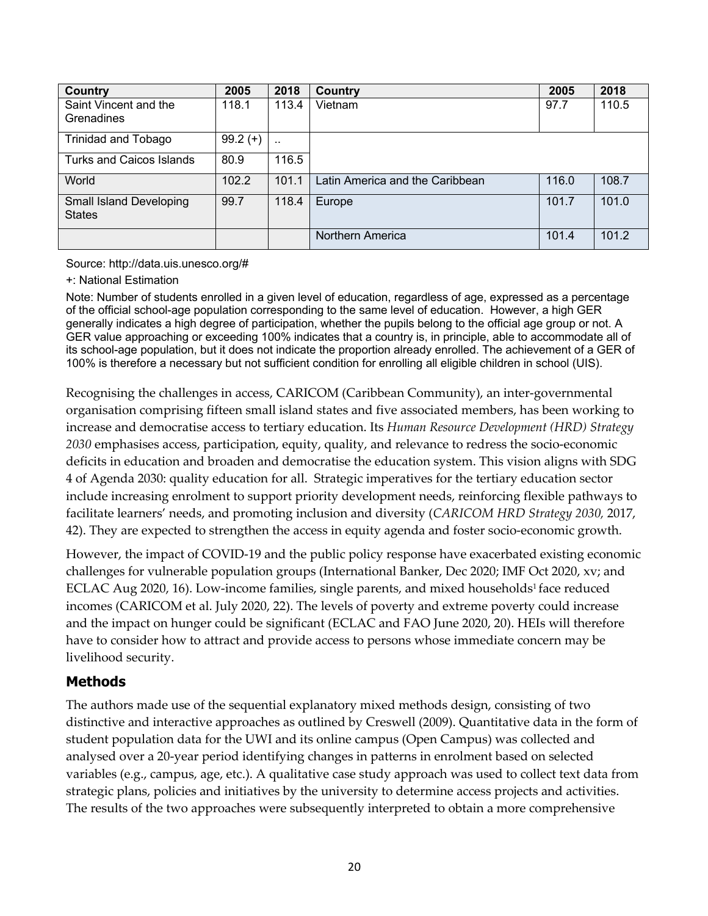| Country                        | 2005       | 2018                 | Country                         | 2005  | 2018  |
|--------------------------------|------------|----------------------|---------------------------------|-------|-------|
| Saint Vincent and the          | 118.1      | 113.4                | Vietnam                         | 97.7  | 110.5 |
| Grenadines                     |            |                      |                                 |       |       |
| <b>Trinidad and Tobago</b>     | $99.2 (+)$ | $\ddot{\phantom{1}}$ |                                 |       |       |
| Turks and Caicos Islands       | 80.9       | 116.5                |                                 |       |       |
| World                          | 102.2      | 101.1                | Latin America and the Caribbean | 116.0 | 108.7 |
| <b>Small Island Developing</b> | 99.7       | 118.4                | Europe                          | 101.7 | 101.0 |
| <b>States</b>                  |            |                      |                                 |       |       |
|                                |            |                      | Northern America                | 101.4 | 101.2 |

Source: http://data.uis.unesco.org/#

#### +: National Estimation

Note: Number of students enrolled in a given level of education, regardless of age, expressed as a percentage of the official school-age population corresponding to the same level of education. However, a high GER generally indicates a high degree of participation, whether the pupils belong to the official age group or not. A GER value approaching or exceeding 100% indicates that a country is, in principle, able to accommodate all of its school-age population, but it does not indicate the proportion already enrolled. The achievement of a GER of 100% is therefore a necessary but not sufficient condition for enrolling all eligible children in school (UIS).

Recognising the challenges in access, CARICOM (Caribbean Community), an inter-governmental organisation comprising fifteen small island states and five associated members, has been working to increase and democratise access to tertiary education. Its *Human Resource Development (HRD) Strategy 2030* emphasises access, participation, equity, quality, and relevance to redress the socio-economic deficits in education and broaden and democratise the education system. This vision aligns with SDG 4 of Agenda 2030: quality education for all. Strategic imperatives for the tertiary education sector include increasing enrolment to support priority development needs, reinforcing flexible pathways to facilitate learners' needs, and promoting inclusion and diversity (*CARICOM HRD Strategy 2030,* 2017, 42). They are expected to strengthen the access in equity agenda and foster socio-economic growth.

However, the impact of COVID-19 and the public policy response have exacerbated existing economic challenges for vulnerable population groups (International Banker, Dec 2020; IMF Oct 2020, xv; and ECLAC Aug 2020, 16). Low-income families, single parents, and mixed households<sup>1</sup> face reduced incomes (CARICOM et al. July 2020, 22). The levels of poverty and extreme poverty could increase and the impact on hunger could be significant (ECLAC and FAO June 2020, 20). HEIs will therefore have to consider how to attract and provide access to persons whose immediate concern may be livelihood security.

### **Methods**

The authors made use of the sequential explanatory mixed methods design, consisting of two distinctive and interactive approaches as outlined by Creswell (2009). Quantitative data in the form of student population data for the UWI and its online campus (Open Campus) was collected and analysed over a 20-year period identifying changes in patterns in enrolment based on selected variables (e.g., campus, age, etc.). A qualitative case study approach was used to collect text data from strategic plans, policies and initiatives by the university to determine access projects and activities. The results of the two approaches were subsequently interpreted to obtain a more comprehensive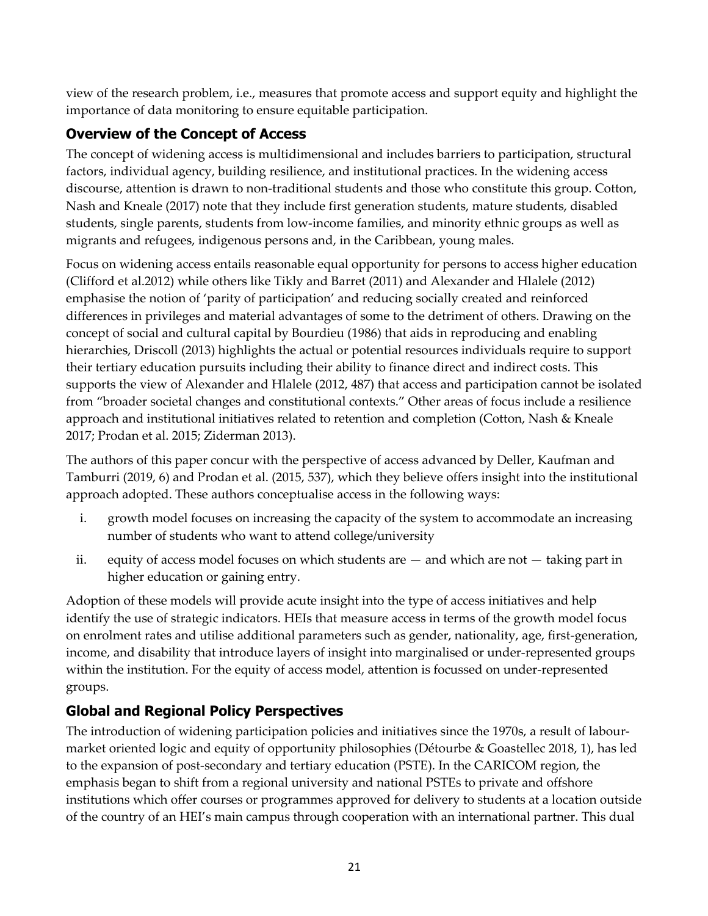view of the research problem, i.e., measures that promote access and support equity and highlight the importance of data monitoring to ensure equitable participation.

## **Overview of the Concept of Access**

The concept of widening access is multidimensional and includes barriers to participation, structural factors, individual agency, building resilience, and institutional practices. In the widening access discourse, attention is drawn to non-traditional students and those who constitute this group. Cotton, Nash and Kneale (2017) note that they include first generation students, mature students, disabled students, single parents, students from low-income families, and minority ethnic groups as well as migrants and refugees, indigenous persons and, in the Caribbean, young males.

Focus on widening access entails reasonable equal opportunity for persons to access higher education (Clifford et al.2012) while others like Tikly and Barret (2011) and Alexander and Hlalele (2012) emphasise the notion of 'parity of participation' and reducing socially created and reinforced differences in privileges and material advantages of some to the detriment of others. Drawing on the concept of social and cultural capital by Bourdieu (1986) that aids in reproducing and enabling hierarchies, Driscoll (2013) highlights the actual or potential resources individuals require to support their tertiary education pursuits including their ability to finance direct and indirect costs. This supports the view of Alexander and Hlalele (2012, 487) that access and participation cannot be isolated from "broader societal changes and constitutional contexts." Other areas of focus include a resilience approach and institutional initiatives related to retention and completion (Cotton, Nash & Kneale 2017; Prodan et al. 2015; Ziderman 2013).

The authors of this paper concur with the perspective of access advanced by Deller, Kaufman and Tamburri (2019, 6) and Prodan et al. (2015, 537), which they believe offers insight into the institutional approach adopted. These authors conceptualise access in the following ways:

- i. growth model focuses on increasing the capacity of the system to accommodate an increasing number of students who want to attend college/university
- ii. equity of access model focuses on which students are and which are not taking part in higher education or gaining entry.

Adoption of these models will provide acute insight into the type of access initiatives and help identify the use of strategic indicators. HEIs that measure access in terms of the growth model focus on enrolment rates and utilise additional parameters such as gender, nationality, age, first-generation, income, and disability that introduce layers of insight into marginalised or under-represented groups within the institution. For the equity of access model, attention is focussed on under-represented groups.

## **Global and Regional Policy Perspectives**

The introduction of widening participation policies and initiatives since the 1970s, a result of labourmarket oriented logic and equity of opportunity philosophies (Détourbe & Goastellec 2018, 1), has led to the expansion of post-secondary and tertiary education (PSTE). In the CARICOM region, the emphasis began to shift from a regional university and national PSTEs to private and offshore institutions which offer courses or programmes approved for delivery to students at a location outside of the country of an HEI's main campus through cooperation with an international partner. This dual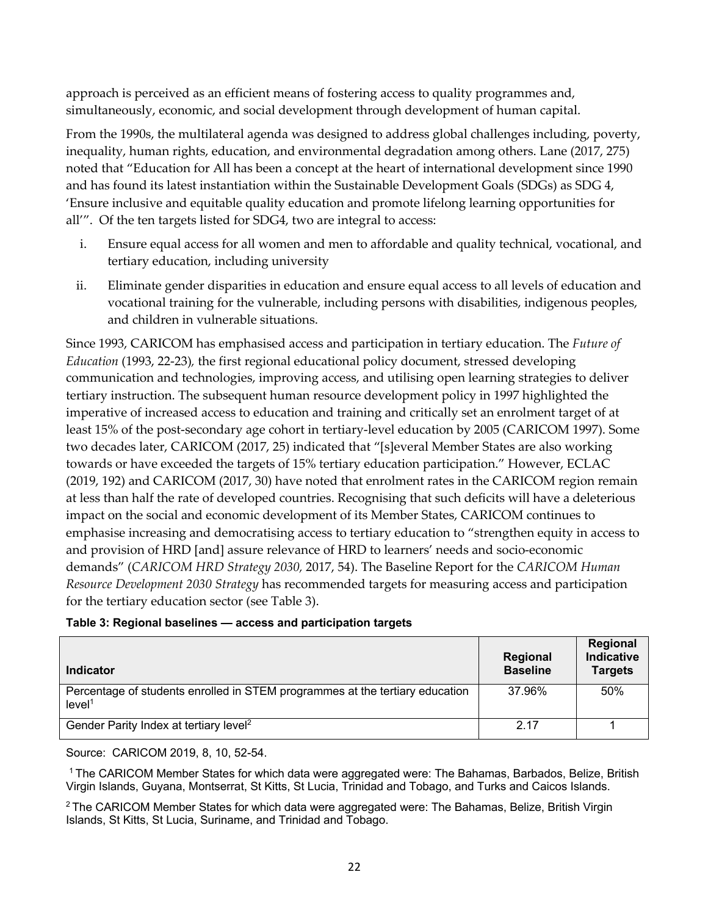approach is perceived as an efficient means of fostering access to quality programmes and, simultaneously, economic, and social development through development of human capital.

From the 1990s, the multilateral agenda was designed to address global challenges including, poverty, inequality, human rights, education, and environmental degradation among others. Lane (2017, 275) noted that "Education for All has been a concept at the heart of international development since 1990 and has found its latest instantiation within the Sustainable Development Goals (SDGs) as SDG 4, 'Ensure inclusive and equitable quality education and promote lifelong learning opportunities for all'". Of the ten targets listed for SDG4, two are integral to access:

- i. Ensure equal access for all women and men to affordable and quality technical, vocational, and tertiary education, including university
- ii. Eliminate gender disparities in education and ensure equal access to all levels of education and vocational training for the vulnerable, including persons with disabilities, indigenous peoples, and children in vulnerable situations.

Since 1993, CARICOM has emphasised access and participation in tertiary education. The *Future of Education* (1993, 22-23)*,* the first regional educational policy document, stressed developing communication and technologies, improving access, and utilising open learning strategies to deliver tertiary instruction. The subsequent human resource development policy in 1997 highlighted the imperative of increased access to education and training and critically set an enrolment target of at least 15% of the post-secondary age cohort in tertiary-level education by 2005 (CARICOM 1997). Some two decades later, CARICOM (2017, 25) indicated that "[s]everal Member States are also working towards or have exceeded the targets of 15% tertiary education participation." However, ECLAC (2019, 192) and CARICOM (2017, 30) have noted that enrolment rates in the CARICOM region remain at less than half the rate of developed countries. Recognising that such deficits will have a deleterious impact on the social and economic development of its Member States, CARICOM continues to emphasise increasing and democratising access to tertiary education to "strengthen equity in access to and provision of HRD [and] assure relevance of HRD to learners' needs and socio-economic demands" (*CARICOM HRD Strategy 2030,* 2017, 54). The Baseline Report for the *CARICOM Human Resource Development 2030 Strategy* has recommended targets for measuring access and participation for the tertiary education sector (see Table 3).

#### **Table 3: Regional baselines — access and participation targets**

| <b>Indicator</b>                                                                                   | Regional<br><b>Baseline</b> | Regional<br><b>Indicative</b><br><b>Targets</b> |
|----------------------------------------------------------------------------------------------------|-----------------------------|-------------------------------------------------|
| Percentage of students enrolled in STEM programmes at the tertiary education<br>level <sup>1</sup> | 37.96%                      | 50%                                             |
| Gender Parity Index at tertiary level <sup>2</sup>                                                 | 2.17                        |                                                 |

Source: CARICOM 2019, 8, 10, 52-54.

1 The CARICOM Member States for which data were aggregated were: The Bahamas, Barbados, Belize, British Virgin Islands, Guyana, Montserrat, St Kitts, St Lucia, Trinidad and Tobago, and Turks and Caicos Islands.

 $2$  The CARICOM Member States for which data were aggregated were: The Bahamas, Belize, British Virgin Islands, St Kitts, St Lucia, Suriname, and Trinidad and Tobago.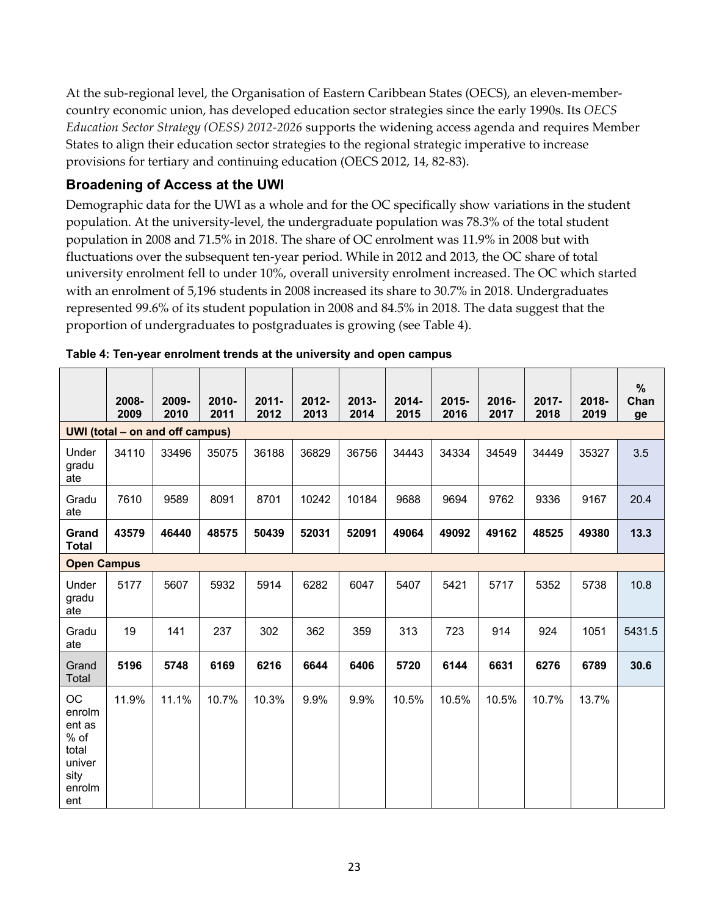At the sub-regional level, the Organisation of Eastern Caribbean States (OECS), an eleven-membercountry economic union, has developed education sector strategies since the early 1990s. Its *OECS Education Sector Strategy (OESS) 2012-2026* supports the widening access agenda and requires Member States to align their education sector strategies to the regional strategic imperative to increase provisions for tertiary and continuing education (OECS 2012, 14, 82-83).

### **Broadening of Access at the UWI**

Demographic data for the UWI as a whole and for the OC specifically show variations in the student population. At the university-level, the undergraduate population was 78.3% of the total student population in 2008 and 71.5% in 2018. The share of OC enrolment was 11.9% in 2008 but with fluctuations over the subsequent ten-year period. While in 2012 and 2013, the OC share of total university enrolment fell to under 10%, overall university enrolment increased. The OC which started with an enrolment of 5,196 students in 2008 increased its share to 30.7% in 2018. Undergraduates represented 99.6% of its student population in 2008 and 84.5% in 2018. The data suggest that the proportion of undergraduates to postgraduates is growing (see Table 4).

|                                                                              | 2008-<br>2009                   | 2009-<br>2010 | 2010-<br>2011 | $2011 -$<br>2012 | $2012 -$<br>2013 | $2013 -$<br>2014 | $2014 -$<br>2015 | 2015-<br>2016 | 2016-<br>2017 | $2017 -$<br>2018 | $2018 -$<br>2019 | %<br>Chan<br>ge |
|------------------------------------------------------------------------------|---------------------------------|---------------|---------------|------------------|------------------|------------------|------------------|---------------|---------------|------------------|------------------|-----------------|
|                                                                              | UWI (total – on and off campus) |               |               |                  |                  |                  |                  |               |               |                  |                  |                 |
| Under<br>gradu<br>ate                                                        | 34110                           | 33496         | 35075         | 36188            | 36829            | 36756            | 34443            | 34334         | 34549         | 34449            | 35327            | 3.5             |
| Gradu<br>ate                                                                 | 7610                            | 9589          | 8091          | 8701             | 10242            | 10184            | 9688             | 9694          | 9762          | 9336             | 9167             | 20.4            |
| Grand<br><b>Total</b>                                                        | 43579                           | 46440         | 48575         | 50439            | 52031            | 52091            | 49064            | 49092         | 49162         | 48525            | 49380            | 13.3            |
| <b>Open Campus</b>                                                           |                                 |               |               |                  |                  |                  |                  |               |               |                  |                  |                 |
| Under<br>gradu<br>ate                                                        | 5177                            | 5607          | 5932          | 5914             | 6282             | 6047             | 5407             | 5421          | 5717          | 5352             | 5738             | 10.8            |
| Gradu<br>ate                                                                 | 19                              | 141           | 237           | 302              | 362              | 359              | 313              | 723           | 914           | 924              | 1051             | 5431.5          |
| Grand<br>Total                                                               | 5196                            | 5748          | 6169          | 6216             | 6644             | 6406             | 5720             | 6144          | 6631          | 6276             | 6789             | 30.6            |
| ОC<br>enrolm<br>ent as<br>$%$ of<br>total<br>univer<br>sity<br>enrolm<br>ent | 11.9%                           | 11.1%         | 10.7%         | 10.3%            | 9.9%             | 9.9%             | 10.5%            | 10.5%         | 10.5%         | 10.7%            | 13.7%            |                 |

**Table 4: Ten-year enrolment trends at the university and open campus**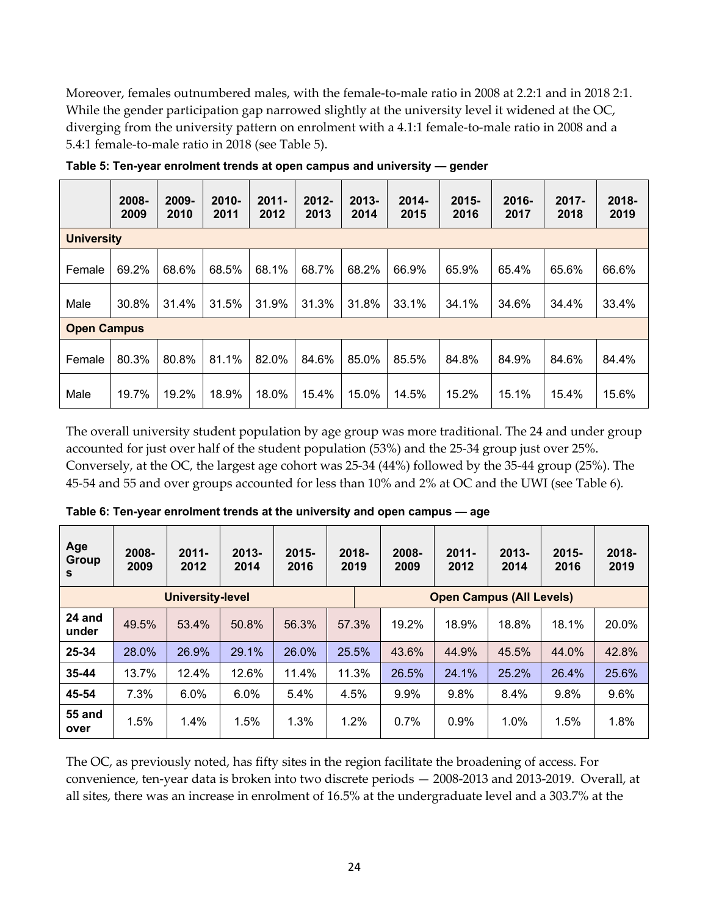Moreover, females outnumbered males, with the female-to-male ratio in 2008 at 2.2:1 and in 2018 2:1. While the gender participation gap narrowed slightly at the university level it widened at the OC, diverging from the university pattern on enrolment with a 4.1:1 female-to-male ratio in 2008 and a 5.4:1 female-to-male ratio in 2018 (see Table 5).

|                    | 2008-<br>2009 | 2009-<br>2010 | 2010-<br>2011 | $2011 -$<br>2012 | $2012 -$<br>2013 | $2013 -$<br>2014 | $2014 -$<br>2015 | $2015 -$<br>2016 | $2016 -$<br>2017 | $2017 -$<br>2018 | $2018 -$<br>2019 |
|--------------------|---------------|---------------|---------------|------------------|------------------|------------------|------------------|------------------|------------------|------------------|------------------|
| <b>University</b>  |               |               |               |                  |                  |                  |                  |                  |                  |                  |                  |
| Female             | 69.2%         | 68.6%         | 68.5%         | 68.1%            | 68.7%            | 68.2%            | 66.9%            | 65.9%            | 65.4%            | 65.6%            | 66.6%            |
| Male               | 30.8%         | 31.4%         | 31.5%         | 31.9%            | 31.3%            | 31.8%            | 33.1%            | 34.1%            | 34.6%            | 34.4%            | 33.4%            |
| <b>Open Campus</b> |               |               |               |                  |                  |                  |                  |                  |                  |                  |                  |
| Female             | 80.3%         | 80.8%         | 81.1%         | 82.0%            | 84.6%            | 85.0%            | 85.5%            | 84.8%            | 84.9%            | 84.6%            | 84.4%            |
| Male               | 19.7%         | 19.2%         | 18.9%         | 18.0%            | 15.4%            | 15.0%            | 14.5%            | 15.2%            | 15.1%            | 15.4%            | 15.6%            |

**Table 5: Ten-year enrolment trends at open campus and university — gender**

The overall university student population by age group was more traditional. The 24 and under group accounted for just over half of the student population (53%) and the 25-34 group just over 25%. Conversely, at the OC, the largest age cohort was 25-34 (44%) followed by the 35-44 group (25%). The 45-54 and 55 and over groups accounted for less than 10% and 2% at OC and the UWI (see Table 6)*.*

| Age<br>Group<br>S     | 2008-<br>2009 | $2011 -$<br>2012        | $2013 -$<br>2014 | $2015 -$<br>2016 | $2018 -$<br>2019 | 2008-<br>2009 | $2011 -$<br>2012                | $2013 -$<br>2014 | $2015 -$<br>2016 | $2018 -$<br>2019 |
|-----------------------|---------------|-------------------------|------------------|------------------|------------------|---------------|---------------------------------|------------------|------------------|------------------|
|                       |               | <b>University-level</b> |                  |                  |                  |               | <b>Open Campus (All Levels)</b> |                  |                  |                  |
| 24 and<br>under       | 49.5%         | 53.4%                   | 50.8%            | 56.3%            | 57.3%            | 19.2%         | 18.9%                           | 18.8%            | 18.1%            | 20.0%            |
| 25-34                 | 28.0%         | 26.9%                   | 29.1%            | 26.0%            | 25.5%            | 43.6%         | 44.9%                           | 45.5%            | 44.0%            | 42.8%            |
| 35-44                 | 13.7%         | 12.4%                   | 12.6%            | 11.4%            | 11.3%            | 26.5%         | 24.1%                           | 25.2%            | 26.4%            | 25.6%            |
| 45-54                 | 7.3%          | 6.0%                    | 6.0%             | 5.4%             | 4.5%             | 9.9%          | 9.8%                            | 8.4%             | 9.8%             | 9.6%             |
| <b>55 and</b><br>over | 1.5%          | 1.4%                    | 1.5%             | 1.3%             | 1.2%             | 0.7%          | 0.9%                            | 1.0%             | 1.5%             | 1.8%             |

**Table 6: Ten-year enrolment trends at the university and open campus — age**

The OC, as previously noted, has fifty sites in the region facilitate the broadening of access. For convenience, ten-year data is broken into two discrete periods — 2008-2013 and 2013-2019. Overall, at all sites, there was an increase in enrolment of 16.5% at the undergraduate level and a 303.7% at the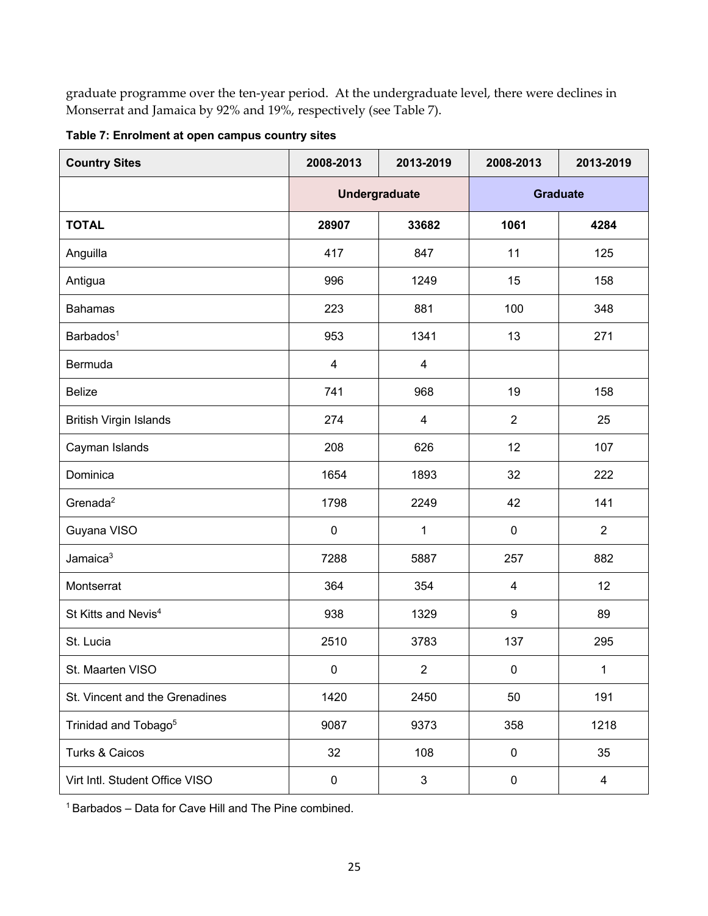graduate programme over the ten-year period. At the undergraduate level, there were declines in Monserrat and Jamaica by 92% and 19%, respectively (see Table 7).

| <b>Country Sites</b>             | 2008-2013<br>2013-2019 |                | 2008-2013       | 2013-2019      |  |
|----------------------------------|------------------------|----------------|-----------------|----------------|--|
|                                  | <b>Undergraduate</b>   |                | <b>Graduate</b> |                |  |
| <b>TOTAL</b>                     | 28907                  | 33682          | 1061            | 4284           |  |
| Anguilla                         | 417                    | 847            | 11              | 125            |  |
| Antigua                          | 996                    | 1249           | 15              | 158            |  |
| <b>Bahamas</b>                   | 223                    | 881            | 100             | 348            |  |
| Barbados <sup>1</sup>            | 953                    | 1341           | 13              | 271            |  |
| Bermuda                          | $\overline{4}$         | $\overline{4}$ |                 |                |  |
| <b>Belize</b>                    | 741                    | 968            | 19              | 158            |  |
| <b>British Virgin Islands</b>    | 274                    | $\overline{4}$ | $\overline{2}$  | 25             |  |
| Cayman Islands                   | 208                    | 626            | 12              | 107            |  |
| Dominica                         | 1654                   | 1893           | 32              | 222            |  |
| Grenada <sup>2</sup>             | 1798                   | 2249           | 42              | 141            |  |
| Guyana VISO                      | $\pmb{0}$              | $\mathbf{1}$   | $\mathbf 0$     | $\overline{2}$ |  |
| Jamaica <sup>3</sup>             | 7288                   | 5887           | 257             | 882            |  |
| Montserrat                       | 364                    | 354            | 4               | 12             |  |
| St Kitts and Nevis <sup>4</sup>  | 938                    | 1329           | 9               | 89             |  |
| St. Lucia                        | 2510                   | 3783           | 137             | 295            |  |
| St. Maarten VISO                 | $\mathbf 0$            | $\sqrt{2}$     | $\pmb{0}$       | $\mathbf{1}$   |  |
| St. Vincent and the Grenadines   | 1420                   | 2450           | 50              | 191            |  |
| Trinidad and Tobago <sup>5</sup> | 9087                   | 9373           | 358             | 1218           |  |
| Turks & Caicos                   | 32                     | 108            | 0               | 35             |  |
| Virt Intl. Student Office VISO   | $\pmb{0}$              | $\sqrt{3}$     | 0               | $\overline{4}$ |  |

**Table 7: Enrolment at open campus country sites**

1 Barbados – Data for Cave Hill and The Pine combined.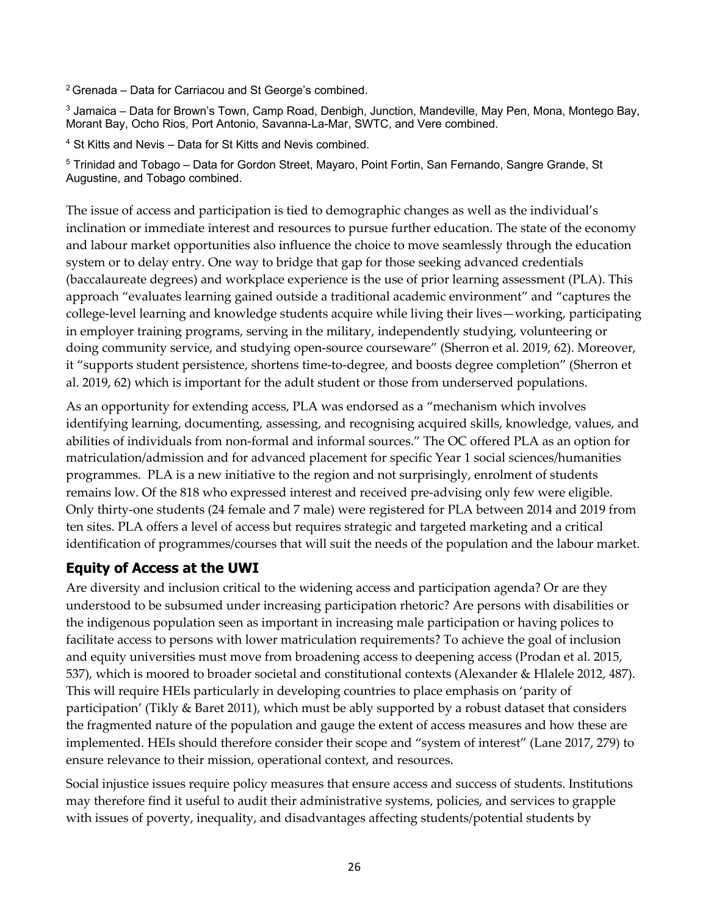2 Grenada – Data for Carriacou and St George's combined.

 $3$  Jamaica – Data for Brown's Town, Camp Road, Denbigh, Junction, Mandeville, May Pen, Mona, Montego Bay, Morant Bay, Ocho Rios, Port Antonio, Savanna-La-Mar, SWTC, and Vere combined.

<sup>4</sup> St Kitts and Nevis – Data for St Kitts and Nevis combined.

<sup>5</sup> Trinidad and Tobago - Data for Gordon Street, Mayaro, Point Fortin, San Fernando, Sangre Grande, St Augustine, and Tobago combined.

The issue of access and participation is tied to demographic changes as well as the individual's inclination or immediate interest and resources to pursue further education. The state of the economy and labour market opportunities also influence the choice to move seamlessly through the education system or to delay entry. One way to bridge that gap for those seeking advanced credentials (baccalaureate degrees) and workplace experience is the use of prior learning assessment (PLA). This approach "evaluates learning gained outside a traditional academic environment" and "captures the college-level learning and knowledge students acquire while living their lives—working, participating in employer training programs, serving in the military, independently studying, volunteering or doing community service, and studying open-source courseware" (Sherron et al. 2019, 62). Moreover, it "supports student persistence, shortens time-to-degree, and boosts degree completion" (Sherron et al. 2019, 62) which is important for the adult student or those from underserved populations.

As an opportunity for extending access, PLA was endorsed as a "mechanism which involves identifying learning, documenting, assessing, and recognising acquired skills, knowledge, values, and abilities of individuals from non-formal and informal sources." The OC offered PLA as an option for matriculation/admission and for advanced placement for specific Year 1 social sciences/humanities programmes. PLA is a new initiative to the region and not surprisingly, enrolment of students remains low. Of the 818 who expressed interest and received pre-advising only few were eligible. Only thirty-one students (24 female and 7 male) were registered for PLA between 2014 and 2019 from ten sites. PLA offers a level of access but requires strategic and targeted marketing and a critical identification of programmes/courses that will suit the needs of the population and the labour market.

### **Equity of Access at the UWI**

Are diversity and inclusion critical to the widening access and participation agenda? Or are they understood to be subsumed under increasing participation rhetoric? Are persons with disabilities or the indigenous population seen as important in increasing male participation or having polices to facilitate access to persons with lower matriculation requirements? To achieve the goal of inclusion and equity universities must move from broadening access to deepening access (Prodan et al. 2015, 537), which is moored to broader societal and constitutional contexts (Alexander & Hlalele 2012, 487). This will require HEIs particularly in developing countries to place emphasis on 'parity of participation' (Tikly & Baret 2011), which must be ably supported by a robust dataset that considers the fragmented nature of the population and gauge the extent of access measures and how these are implemented. HEIs should therefore consider their scope and "system of interest" (Lane 2017, 279) to ensure relevance to their mission, operational context, and resources.

Social injustice issues require policy measures that ensure access and success of students. Institutions may therefore find it useful to audit their administrative systems, policies, and services to grapple with issues of poverty, inequality, and disadvantages affecting students/potential students by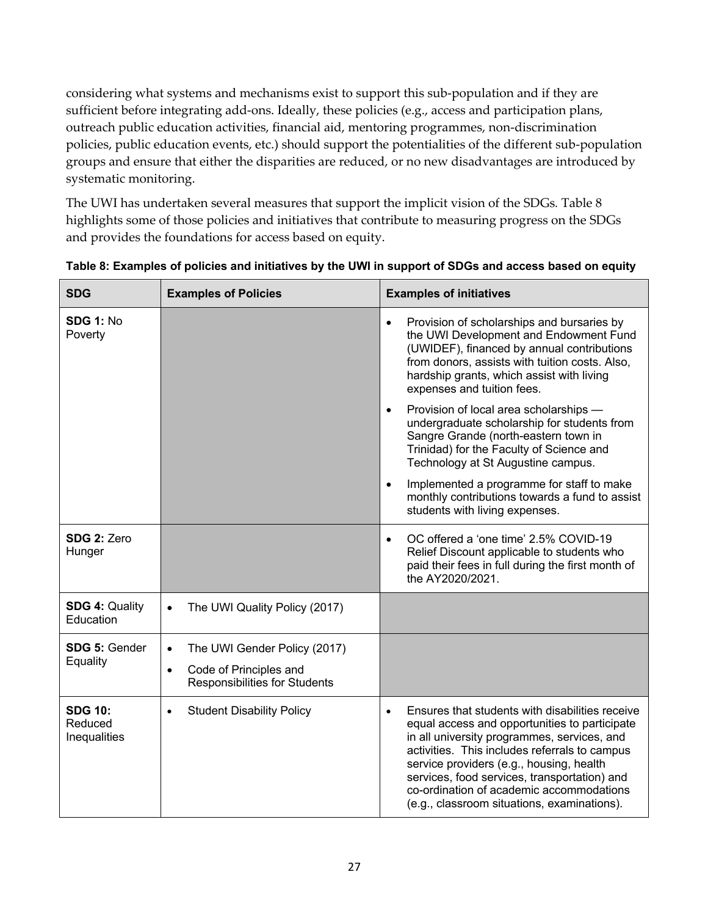considering what systems and mechanisms exist to support this sub-population and if they are sufficient before integrating add-ons. Ideally, these policies (e.g., access and participation plans, outreach public education activities, financial aid, mentoring programmes, non-discrimination policies, public education events, etc.) should support the potentialities of the different sub-population groups and ensure that either the disparities are reduced, or no new disadvantages are introduced by systematic monitoring.

The UWI has undertaken several measures that support the implicit vision of the SDGs*.* Table 8 highlights some of those policies and initiatives that contribute to measuring progress on the SDGs and provides the foundations for access based on equity.

| <b>SDG</b>                                | <b>Examples of Policies</b>                                                 | <b>Examples of initiatives</b>                                                                                                                                                                                                                                                                                                                                                                       |
|-------------------------------------------|-----------------------------------------------------------------------------|------------------------------------------------------------------------------------------------------------------------------------------------------------------------------------------------------------------------------------------------------------------------------------------------------------------------------------------------------------------------------------------------------|
| <b>SDG 1: No</b><br>Poverty               |                                                                             | Provision of scholarships and bursaries by<br>$\bullet$<br>the UWI Development and Endowment Fund<br>(UWIDEF), financed by annual contributions<br>from donors, assists with tuition costs. Also,<br>hardship grants, which assist with living<br>expenses and tuition fees.                                                                                                                         |
|                                           |                                                                             | Provision of local area scholarships -<br>$\bullet$<br>undergraduate scholarship for students from<br>Sangre Grande (north-eastern town in<br>Trinidad) for the Faculty of Science and<br>Technology at St Augustine campus.                                                                                                                                                                         |
|                                           |                                                                             | Implemented a programme for staff to make<br>$\bullet$<br>monthly contributions towards a fund to assist<br>students with living expenses.                                                                                                                                                                                                                                                           |
| SDG 2: Zero<br>Hunger                     |                                                                             | OC offered a 'one time' 2.5% COVID-19<br>$\bullet$<br>Relief Discount applicable to students who<br>paid their fees in full during the first month of<br>the AY2020/2021.                                                                                                                                                                                                                            |
| <b>SDG 4: Quality</b><br>Education        | The UWI Quality Policy (2017)<br>$\bullet$                                  |                                                                                                                                                                                                                                                                                                                                                                                                      |
| SDG 5: Gender                             | The UWI Gender Policy (2017)<br>$\bullet$                                   |                                                                                                                                                                                                                                                                                                                                                                                                      |
| Equality                                  | Code of Principles and<br>$\bullet$<br><b>Responsibilities for Students</b> |                                                                                                                                                                                                                                                                                                                                                                                                      |
| <b>SDG 10:</b><br>Reduced<br>Inequalities | <b>Student Disability Policy</b>                                            | Ensures that students with disabilities receive<br>$\bullet$<br>equal access and opportunities to participate<br>in all university programmes, services, and<br>activities. This includes referrals to campus<br>service providers (e.g., housing, health<br>services, food services, transportation) and<br>co-ordination of academic accommodations<br>(e.g., classroom situations, examinations). |

#### **Table 8: Examples of policies and initiatives by the UWI in support of SDGs and access based on equity**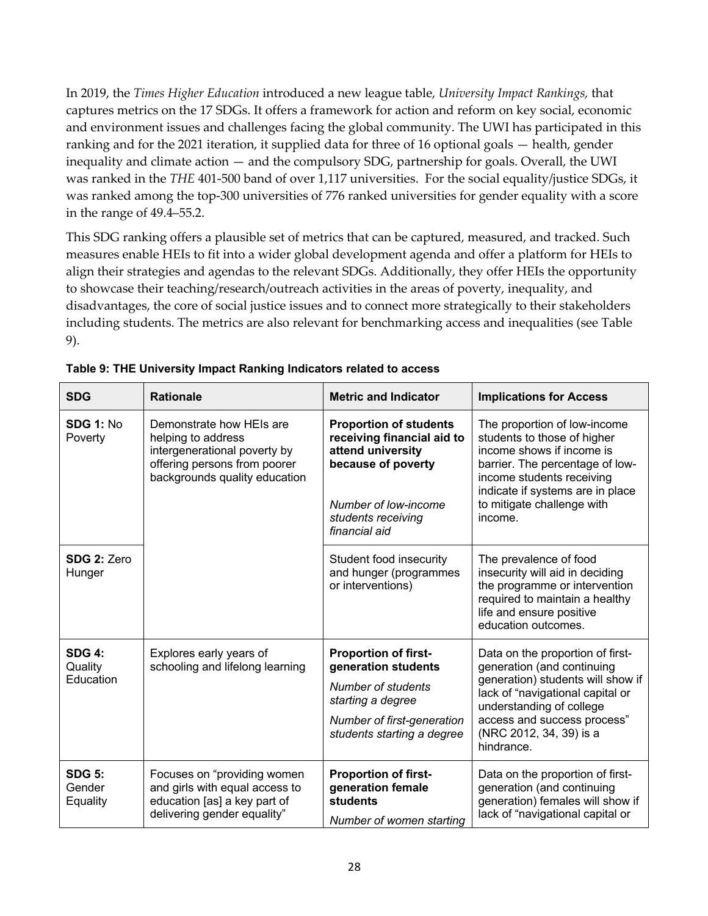In 2019, the *Times Higher Education* introduced a new league table, *University Impact Rankings,* that captures metrics on the 17 SDGs. It offers a framework for action and reform on key social, economic and environment issues and challenges facing the global community. The UWI has participated in this ranking and for the 2021 iteration, it supplied data for three of 16 optional goals — health, gender inequality and climate action — and the compulsory SDG, partnership for goals. Overall, the UWI was ranked in the *THE* 401-500 band of over 1,117 universities. For the social equality/justice SDGs, it was ranked among the top-300 universities of 776 ranked universities for gender equality with a score in the range of 49.4–55.2.

This SDG ranking offers a plausible set of metrics that can be captured, measured, and tracked. Such measures enable HEIs to fit into a wider global development agenda and offer a platform for HEIs to align their strategies and agendas to the relevant SDGs. Additionally, they offer HEIs the opportunity to showcase their teaching/research/outreach activities in the areas of poverty, inequality, and disadvantages, the core of social justice issues and to connect more strategically to their stakeholders including students. The metrics are also relevant for benchmarking access and inequalities (see Table 9).

| <b>SDG</b>                            | <b>Rationale</b>                                                                                                                                | <b>Metric and Indicator</b>                                                                                                                                           | <b>Implications for Access</b>                                                                                                                                                                                                              |
|---------------------------------------|-------------------------------------------------------------------------------------------------------------------------------------------------|-----------------------------------------------------------------------------------------------------------------------------------------------------------------------|---------------------------------------------------------------------------------------------------------------------------------------------------------------------------------------------------------------------------------------------|
| <b>SDG 1: No</b><br>Poverty           | Demonstrate how HEIs are<br>helping to address<br>intergenerational poverty by<br>offering persons from poorer<br>backgrounds quality education | <b>Proportion of students</b><br>receiving financial aid to<br>attend university<br>because of poverty<br>Number of low-income<br>students receiving<br>financial aid | The proportion of low-income<br>students to those of higher<br>income shows if income is<br>barrier. The percentage of low-<br>income students receiving<br>indicate if systems are in place<br>to mitigate challenge with<br>income.       |
| <b>SDG 2: Zero</b><br>Hunger          |                                                                                                                                                 | Student food insecurity<br>and hunger (programmes<br>or interventions)                                                                                                | The prevalence of food<br>insecurity will aid in deciding<br>the programme or intervention<br>required to maintain a healthy<br>life and ensure positive<br>education outcomes.                                                             |
| <b>SDG 4:</b><br>Quality<br>Education | Explores early years of<br>schooling and lifelong learning                                                                                      | <b>Proportion of first-</b><br>generation students<br>Number of students<br>starting a degree<br>Number of first-generation<br>students starting a degree             | Data on the proportion of first-<br>generation (and continuing<br>generation) students will show if<br>lack of "navigational capital or<br>understanding of college<br>access and success process"<br>(NRC 2012, 34, 39) is a<br>hindrance. |
| <b>SDG 5:</b><br>Gender<br>Equality   | Focuses on "providing women<br>and girls with equal access to<br>education [as] a key part of<br>delivering gender equality"                    | <b>Proportion of first-</b><br>generation female<br>students<br>Number of women starting                                                                              | Data on the proportion of first-<br>generation (and continuing<br>generation) females will show if<br>lack of "navigational capital or                                                                                                      |

**Table 9: THE University Impact Ranking Indicators related to access**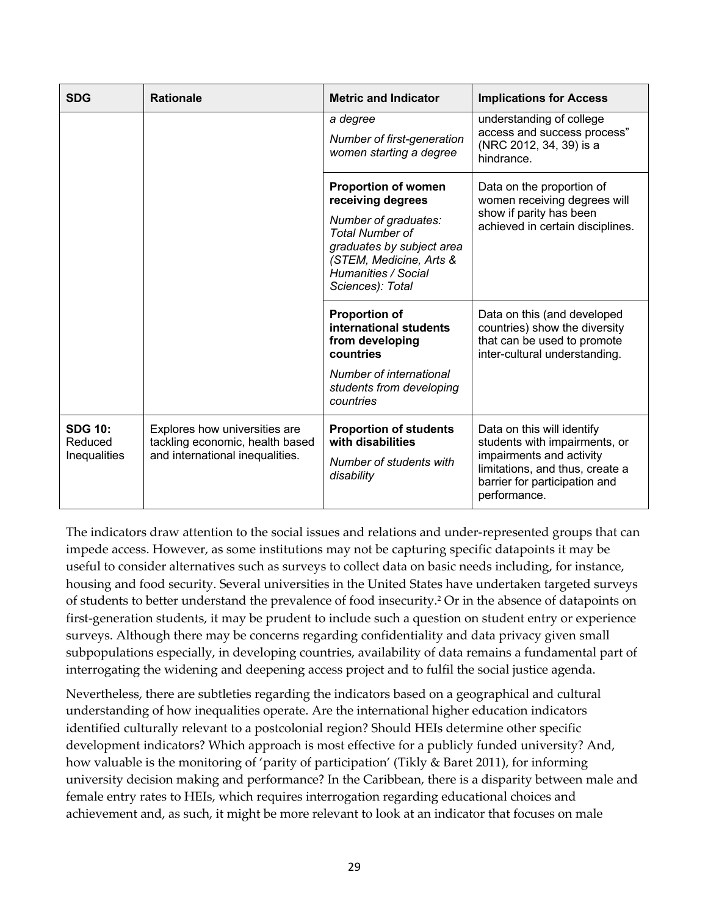| <b>SDG</b>                                | <b>Rationale</b>                                                                                    | <b>Metric and Indicator</b>                                                                                                                                                                          | <b>Implications for Access</b>                                                                                                                                              |
|-------------------------------------------|-----------------------------------------------------------------------------------------------------|------------------------------------------------------------------------------------------------------------------------------------------------------------------------------------------------------|-----------------------------------------------------------------------------------------------------------------------------------------------------------------------------|
|                                           |                                                                                                     | a degree<br>Number of first-generation<br>women starting a degree                                                                                                                                    | understanding of college<br>access and success process"<br>(NRC 2012, 34, 39) is a<br>hindrance.                                                                            |
|                                           |                                                                                                     | <b>Proportion of women</b><br>receiving degrees<br>Number of graduates:<br><b>Total Number of</b><br>graduates by subject area<br>(STEM, Medicine, Arts &<br>Humanities / Social<br>Sciences): Total | Data on the proportion of<br>women receiving degrees will<br>show if parity has been<br>achieved in certain disciplines.                                                    |
|                                           |                                                                                                     | <b>Proportion of</b><br>international students<br>from developing<br>countries<br>Number of international<br>students from developing<br>countries                                                   | Data on this (and developed<br>countries) show the diversity<br>that can be used to promote<br>inter-cultural understanding.                                                |
| <b>SDG 10:</b><br>Reduced<br>Inequalities | Explores how universities are<br>tackling economic, health based<br>and international inequalities. | <b>Proportion of students</b><br>with disabilities<br>Number of students with<br>disability                                                                                                          | Data on this will identify<br>students with impairments, or<br>impairments and activity<br>limitations, and thus, create a<br>barrier for participation and<br>performance. |

The indicators draw attention to the social issues and relations and under-represented groups that can impede access. However, as some institutions may not be capturing specific datapoints it may be useful to consider alternatives such as surveys to collect data on basic needs including, for instance, housing and food security. Several universities in the United States have undertaken targeted surveys of students to better understand the prevalence of food insecurity.2 Or in the absence of datapoints on first-generation students, it may be prudent to include such a question on student entry or experience surveys. Although there may be concerns regarding confidentiality and data privacy given small subpopulations especially, in developing countries, availability of data remains a fundamental part of interrogating the widening and deepening access project and to fulfil the social justice agenda.

Nevertheless, there are subtleties regarding the indicators based on a geographical and cultural understanding of how inequalities operate. Are the international higher education indicators identified culturally relevant to a postcolonial region? Should HEIs determine other specific development indicators? Which approach is most effective for a publicly funded university? And, how valuable is the monitoring of 'parity of participation' (Tikly & Baret 2011), for informing university decision making and performance? In the Caribbean, there is a disparity between male and female entry rates to HEIs, which requires interrogation regarding educational choices and achievement and, as such, it might be more relevant to look at an indicator that focuses on male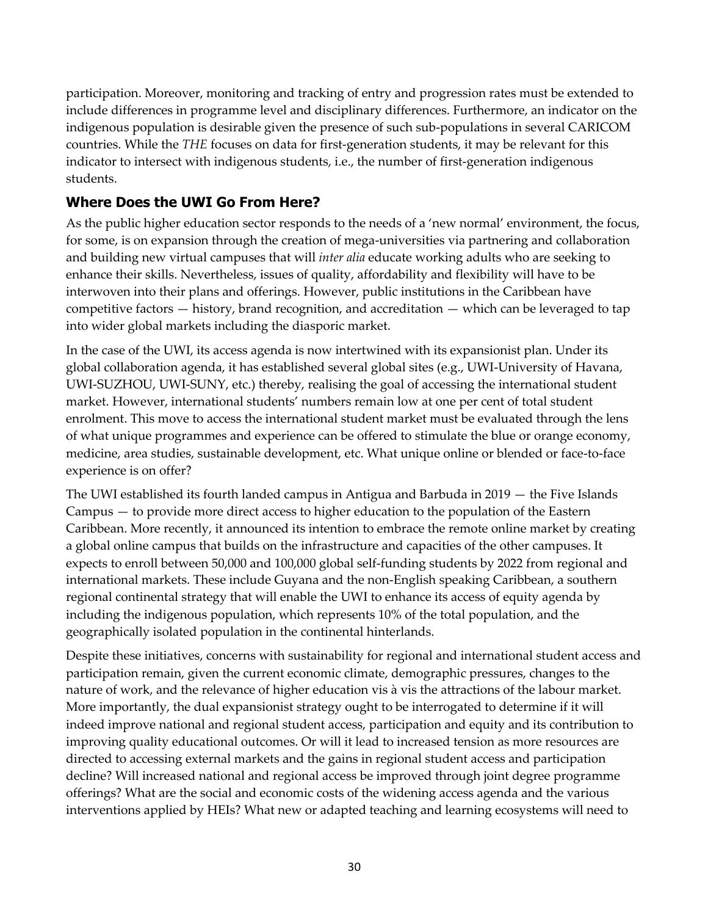participation. Moreover, monitoring and tracking of entry and progression rates must be extended to include differences in programme level and disciplinary differences. Furthermore, an indicator on the indigenous population is desirable given the presence of such sub-populations in several CARICOM countries. While the *THE* focuses on data for first-generation students, it may be relevant for this indicator to intersect with indigenous students, i.e., the number of first-generation indigenous students.

### **Where Does the UWI Go From Here?**

As the public higher education sector responds to the needs of a 'new normal' environment, the focus, for some, is on expansion through the creation of mega-universities via partnering and collaboration and building new virtual campuses that will *inter alia* educate working adults who are seeking to enhance their skills. Nevertheless, issues of quality, affordability and flexibility will have to be interwoven into their plans and offerings. However, public institutions in the Caribbean have competitive factors — history, brand recognition, and accreditation — which can be leveraged to tap into wider global markets including the diasporic market.

In the case of the UWI, its access agenda is now intertwined with its expansionist plan. Under its global collaboration agenda, it has established several global sites (e.g., UWI-University of Havana, UWI-SUZHOU, UWI-SUNY, etc.) thereby, realising the goal of accessing the international student market. However, international students' numbers remain low at one per cent of total student enrolment. This move to access the international student market must be evaluated through the lens of what unique programmes and experience can be offered to stimulate the blue or orange economy, medicine, area studies, sustainable development, etc. What unique online or blended or face-to-face experience is on offer?

The UWI established its fourth landed campus in Antigua and Barbuda in 2019 — the Five Islands Campus — to provide more direct access to higher education to the population of the Eastern Caribbean. More recently, it announced its intention to embrace the remote online market by creating a global online campus that builds on the infrastructure and capacities of the other campuses. It expects to enroll between 50,000 and 100,000 global self-funding students by 2022 from regional and international markets. These include Guyana and the non-English speaking Caribbean, a southern regional continental strategy that will enable the UWI to enhance its access of equity agenda by including the indigenous population, which represents 10% of the total population, and the geographically isolated population in the continental hinterlands.

Despite these initiatives, concerns with sustainability for regional and international student access and participation remain, given the current economic climate, demographic pressures, changes to the nature of work, and the relevance of higher education vis à vis the attractions of the labour market. More importantly, the dual expansionist strategy ought to be interrogated to determine if it will indeed improve national and regional student access, participation and equity and its contribution to improving quality educational outcomes. Or will it lead to increased tension as more resources are directed to accessing external markets and the gains in regional student access and participation decline? Will increased national and regional access be improved through joint degree programme offerings? What are the social and economic costs of the widening access agenda and the various interventions applied by HEIs? What new or adapted teaching and learning ecosystems will need to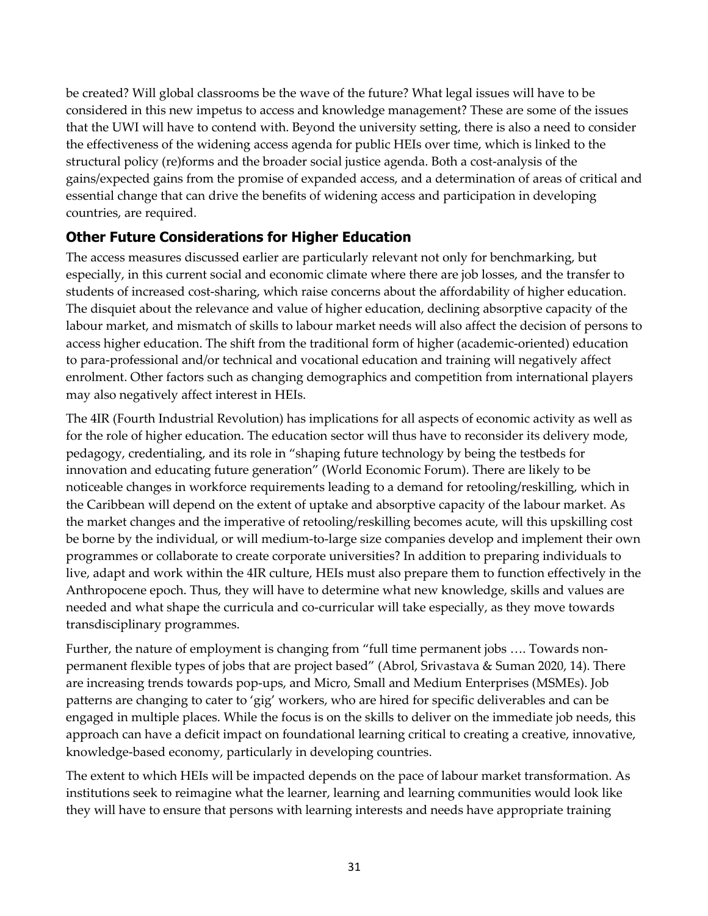be created? Will global classrooms be the wave of the future? What legal issues will have to be considered in this new impetus to access and knowledge management? These are some of the issues that the UWI will have to contend with. Beyond the university setting, there is also a need to consider the effectiveness of the widening access agenda for public HEIs over time, which is linked to the structural policy (re)forms and the broader social justice agenda. Both a cost-analysis of the gains/expected gains from the promise of expanded access, and a determination of areas of critical and essential change that can drive the benefits of widening access and participation in developing countries, are required.

## **Other Future Considerations for Higher Education**

The access measures discussed earlier are particularly relevant not only for benchmarking, but especially, in this current social and economic climate where there are job losses, and the transfer to students of increased cost-sharing, which raise concerns about the affordability of higher education. The disquiet about the relevance and value of higher education, declining absorptive capacity of the labour market, and mismatch of skills to labour market needs will also affect the decision of persons to access higher education. The shift from the traditional form of higher (academic-oriented) education to para-professional and/or technical and vocational education and training will negatively affect enrolment. Other factors such as changing demographics and competition from international players may also negatively affect interest in HEIs.

The 4IR (Fourth Industrial Revolution) has implications for all aspects of economic activity as well as for the role of higher education. The education sector will thus have to reconsider its delivery mode, pedagogy, credentialing, and its role in "shaping future technology by being the testbeds for innovation and educating future generation" (World Economic Forum). There are likely to be noticeable changes in workforce requirements leading to a demand for retooling/reskilling, which in the Caribbean will depend on the extent of uptake and absorptive capacity of the labour market. As the market changes and the imperative of retooling/reskilling becomes acute, will this upskilling cost be borne by the individual, or will medium-to-large size companies develop and implement their own programmes or collaborate to create corporate universities? In addition to preparing individuals to live, adapt and work within the 4IR culture, HEIs must also prepare them to function effectively in the Anthropocene epoch. Thus, they will have to determine what new knowledge, skills and values are needed and what shape the curricula and co-curricular will take especially, as they move towards transdisciplinary programmes.

Further, the nature of employment is changing from "full time permanent jobs …. Towards nonpermanent flexible types of jobs that are project based" (Abrol, Srivastava & Suman 2020, 14). There are increasing trends towards pop-ups, and Micro, Small and Medium Enterprises (MSMEs). Job patterns are changing to cater to 'gig' workers, who are hired for specific deliverables and can be engaged in multiple places. While the focus is on the skills to deliver on the immediate job needs, this approach can have a deficit impact on foundational learning critical to creating a creative, innovative, knowledge-based economy, particularly in developing countries.

The extent to which HEIs will be impacted depends on the pace of labour market transformation. As institutions seek to reimagine what the learner, learning and learning communities would look like they will have to ensure that persons with learning interests and needs have appropriate training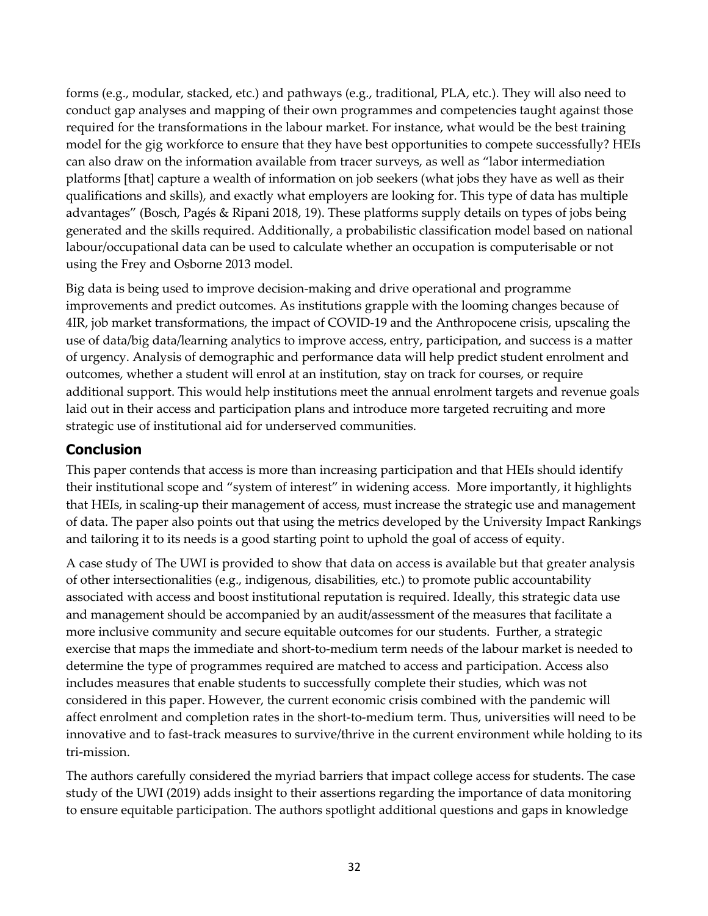forms (e.g., modular, stacked, etc.) and pathways (e.g., traditional, PLA, etc.). They will also need to conduct gap analyses and mapping of their own programmes and competencies taught against those required for the transformations in the labour market. For instance, what would be the best training model for the gig workforce to ensure that they have best opportunities to compete successfully? HEIs can also draw on the information available from tracer surveys, as well as "labor intermediation platforms [that] capture a wealth of information on job seekers (what jobs they have as well as their qualifications and skills), and exactly what employers are looking for. This type of data has multiple advantages" (Bosch, Pagés & Ripani 2018, 19). These platforms supply details on types of jobs being generated and the skills required. Additionally, a probabilistic classification model based on national labour/occupational data can be used to calculate whether an occupation is computerisable or not using the Frey and Osborne 2013 model.

Big data is being used to improve decision-making and drive operational and programme improvements and predict outcomes. As institutions grapple with the looming changes because of 4IR, job market transformations, the impact of COVID-19 and the Anthropocene crisis, upscaling the use of data/big data/learning analytics to improve access, entry, participation, and success is a matter of urgency. Analysis of demographic and performance data will help predict student enrolment and outcomes, whether a student will enrol at an institution, stay on track for courses, or require additional support. This would help institutions meet the annual enrolment targets and revenue goals laid out in their access and participation plans and introduce more targeted recruiting and more strategic use of institutional aid for underserved communities.

### **Conclusion**

This paper contends that access is more than increasing participation and that HEIs should identify their institutional scope and "system of interest" in widening access. More importantly, it highlights that HEIs, in scaling-up their management of access, must increase the strategic use and management of data. The paper also points out that using the metrics developed by the University Impact Rankings and tailoring it to its needs is a good starting point to uphold the goal of access of equity.

A case study of The UWI is provided to show that data on access is available but that greater analysis of other intersectionalities (e.g., indigenous, disabilities, etc.) to promote public accountability associated with access and boost institutional reputation is required. Ideally, this strategic data use and management should be accompanied by an audit/assessment of the measures that facilitate a more inclusive community and secure equitable outcomes for our students. Further, a strategic exercise that maps the immediate and short-to-medium term needs of the labour market is needed to determine the type of programmes required are matched to access and participation. Access also includes measures that enable students to successfully complete their studies, which was not considered in this paper. However, the current economic crisis combined with the pandemic will affect enrolment and completion rates in the short-to-medium term. Thus, universities will need to be innovative and to fast-track measures to survive/thrive in the current environment while holding to its tri-mission.

The authors carefully considered the myriad barriers that impact college access for students. The case study of the UWI (2019) adds insight to their assertions regarding the importance of data monitoring to ensure equitable participation. The authors spotlight additional questions and gaps in knowledge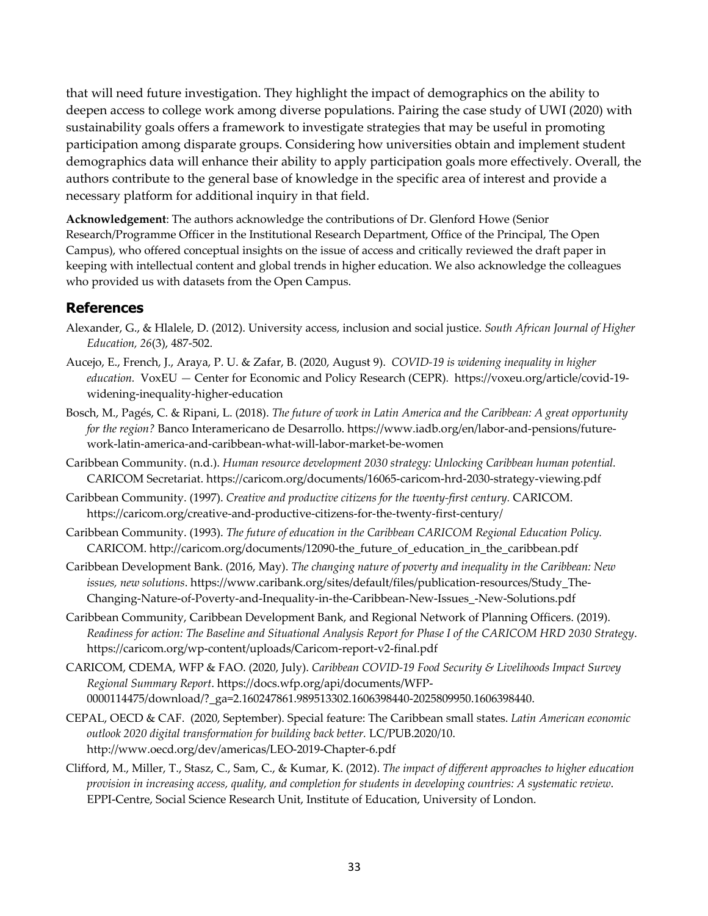that will need future investigation. They highlight the impact of demographics on the ability to deepen access to college work among diverse populations. Pairing the case study of UWI (2020) with sustainability goals offers a framework to investigate strategies that may be useful in promoting participation among disparate groups. Considering how universities obtain and implement student demographics data will enhance their ability to apply participation goals more effectively. Overall, the authors contribute to the general base of knowledge in the specific area of interest and provide a necessary platform for additional inquiry in that field.

**Acknowledgement**: The authors acknowledge the contributions of Dr. Glenford Howe (Senior Research/Programme Officer in the Institutional Research Department, Office of the Principal, The Open Campus), who offered conceptual insights on the issue of access and critically reviewed the draft paper in keeping with intellectual content and global trends in higher education. We also acknowledge the colleagues who provided us with datasets from the Open Campus.

### **References**

- Alexander, G., & Hlalele, D. (2012). University access, inclusion and social justice. *South African Journal of Higher Education, 26*(3), 487-502.
- Aucejo, E., French, J., Araya, P. U. & Zafar, B. (2020, August 9). *COVID-19 is widening inequality in higher education.* VoxEU *—* Center for Economic and Policy Research (CEPR)*.* https://voxeu.org/article/covid-19 widening-inequality-higher-education
- Bosch, M., Pagés, C. & Ripani, L. (2018). *The future of work in Latin America and the Caribbean: A great opportunity for the region?* Banco Interamericano de Desarrollo. https://www.iadb.org/en/labor-and-pensions/futurework-latin-america-and-caribbean-what-will-labor-market-be-women
- Caribbean Community. (n.d.). *Human resource development 2030 strategy: Unlocking Caribbean human potential.* CARICOM Secretariat. https://caricom.org/documents/16065-caricom-hrd-2030-strategy-viewing.pdf
- Caribbean Community. (1997). *Creative and productive citizens for the twenty-first century.* CARICOM. https://caricom.org/creative-and-productive-citizens-for-the-twenty-first-century/
- Caribbean Community. (1993). *The future of education in the Caribbean CARICOM Regional Education Policy.*  CARICOM. http://caricom.org/documents/12090-the\_future\_of\_education\_in\_the\_caribbean.pdf
- Caribbean Development Bank. (2016, May). *The changing nature of poverty and inequality in the Caribbean: New issues, new solutions*. https://www.caribank.org/sites/default/files/publication-resources/Study\_The-Changing-Nature-of-Poverty-and-Inequality-in-the-Caribbean-New-Issues\_-New-Solutions.pdf
- Caribbean Community, Caribbean Development Bank, and Regional Network of Planning Officers. (2019). *Readiness for action: The Baseline and Situational Analysis Report for Phase I of the CARICOM HRD 2030 Strategy*. https://caricom.org/wp-content/uploads/Caricom-report-v2-final.pdf
- CARICOM, CDEMA, WFP & FAO. (2020, July). *Caribbean COVID-19 Food Security & Livelihoods Impact Survey Regional Summary Report*. https://docs.wfp.org/api/documents/WFP-0000114475/download/?\_ga=2.160247861.989513302.1606398440-2025809950.1606398440.
- CEPAL, OECD & CAF. (2020, September). Special feature: The Caribbean small states. *Latin American economic outlook 2020 digital transformation for building back better.* LC/PUB.2020/10. http://www.oecd.org/dev/americas/LEO-2019-Chapter-6.pdf
- Clifford, M., Miller, T., Stasz, C., Sam, C., & Kumar, K. (2012). *The impact of different approaches to higher education provision in increasing access, quality, and completion for students in developing countries: A systematic review*. EPPI-Centre, Social Science Research Unit, Institute of Education, University of London.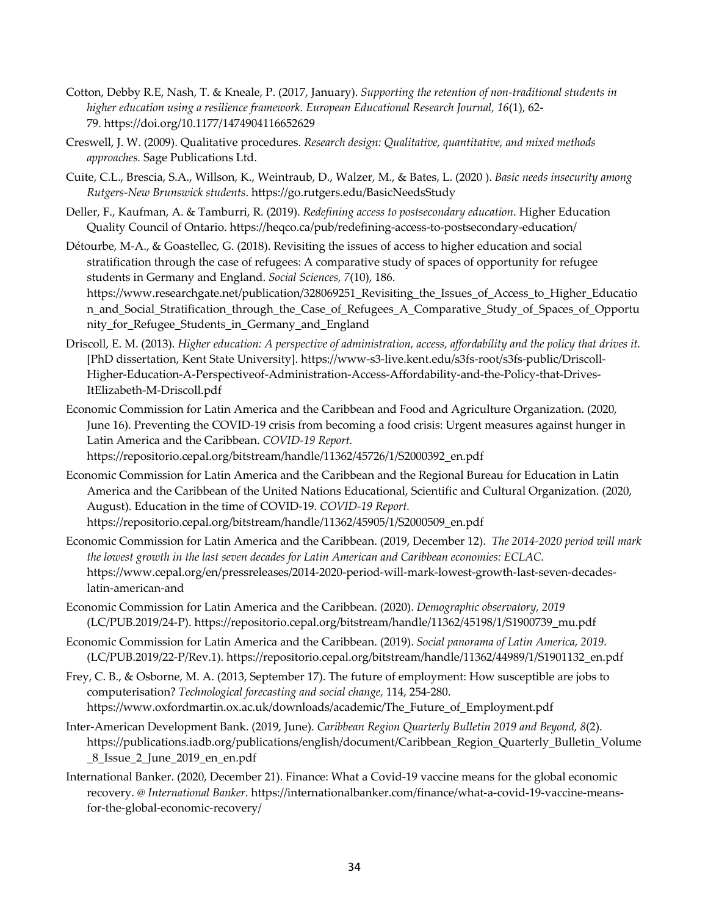- Cotton, Debby R.E, Nash, T. & Kneale, P. (2017, January). *Supporting the retention of non-traditional students in higher education using a resilience framework. European Educational Research Journal, 16*(1), 62- 79. https://doi.org/10.1177/1474904116652629
- Creswell, J. W. (2009). Qualitative procedures. *Research design: Qualitative, quantitative, and mixed methods approaches.* Sage Publications Ltd.
- Cuite, C.L., Brescia, S.A., Willson, K., Weintraub, D., Walzer, M., & Bates, L. (2020 ). *Basic needs insecurity among Rutgers-New Brunswick students*. https://go.rutgers.edu/BasicNeedsStudy
- Deller, F., Kaufman, A. & Tamburri, R. (2019). *Redefining access to postsecondary education*. Higher Education Quality Council of Ontario. https://heqco.ca/pub/redefining-access-to-postsecondary-education/
- Détourbe, M-A., & Goastellec, G. (2018). Revisiting the issues of access to higher education and social stratification through the case of refugees: A comparative study of spaces of opportunity for refugee students in Germany and England. *Social Sciences, 7*(10), 186. https://www.researchgate.net/publication/328069251\_Revisiting\_the\_Issues\_of\_Access\_to\_Higher\_Educatio n\_and\_Social\_Stratification\_through\_the\_Case\_of\_Refugees\_A\_Comparative\_Study\_of\_Spaces\_of\_Opportu nity\_for\_Refugee\_Students\_in\_Germany\_and\_England
- Driscoll, E. M. (2013). *Higher education: A perspective of administration, access, affordability and the policy that drives it.* [PhD dissertation, Kent State University]. https://www-s3-live.kent.edu/s3fs-root/s3fs-public/Driscoll-Higher-Education-A-Perspectiveof-Administration-Access-Affordability-and-the-Policy-that-Drives-ItElizabeth-M-Driscoll.pdf
- Economic Commission for Latin America and the Caribbean and Food and Agriculture Organization. (2020, June 16). Preventing the COVID-19 crisis from becoming a food crisis: Urgent measures against hunger in Latin America and the Caribbean. *COVID-19 Report.*

https://repositorio.cepal.org/bitstream/handle/11362/45726/1/S2000392\_en.pdf

- Economic Commission for Latin America and the Caribbean and the Regional Bureau for Education in Latin America and the Caribbean of the United Nations Educational, Scientific and Cultural Organization. (2020, August). Education in the time of COVID-19. *COVID-19 Report.* https://repositorio.cepal.org/bitstream/handle/11362/45905/1/S2000509\_en.pdf
- Economic Commission for Latin America and the Caribbean. (2019, December 12). *The 2014-2020 period will mark the lowest growth in the last seven decades for Latin American and Caribbean economies: ECLAC.* https://www.cepal.org/en/pressreleases/2014-2020-period-will-mark-lowest-growth-last-seven-decadeslatin-american-and
- Economic Commission for Latin America and the Caribbean. (2020). *Demographic observatory, 2019* (LC/PUB.2019/24-P). https://repositorio.cepal.org/bitstream/handle/11362/45198/1/S1900739\_mu.pdf
- Economic Commission for Latin America and the Caribbean. (2019). *Social panorama of Latin America, 2019.*  (LC/PUB.2019/22-P/Rev.1). https://repositorio.cepal.org/bitstream/handle/11362/44989/1/S1901132\_en.pdf
- Frey, C. B., & Osborne, M. A. (2013, September 17). The future of employment: How susceptible are jobs to computerisation? *Technological forecasting and social change,* 114, 254-280. https://www.oxfordmartin.ox.ac.uk/downloads/academic/The\_Future\_of\_Employment.pdf
- Inter-American Development Bank. (2019, June). *Caribbean Region Quarterly Bulletin 2019 and Beyond, 8*(2). https://publications.iadb.org/publications/english/document/Caribbean\_Region\_Quarterly\_Bulletin\_Volume \_8\_Issue\_2\_June\_2019\_en\_en.pdf
- International Banker. (2020, December 21). Finance: What a Covid-19 vaccine means for the global economic recovery. @ *International Banker*. https://internationalbanker.com/finance/what-a-covid-19-vaccine-meansfor-the-global-economic-recovery/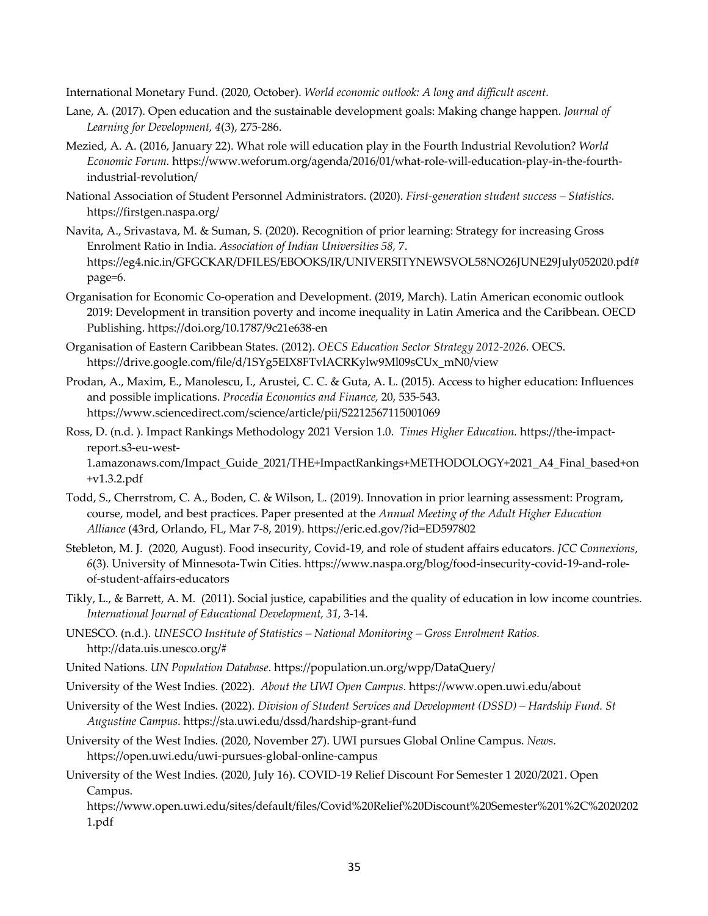International Monetary Fund. (2020, October). *World economic outlook: A long and difficult ascent.*

- Lane, A. (2017). Open education and the sustainable development goals: Making change happen. *Journal of Learning for Development, 4*(3), 275-286.
- Mezied, A. A. (2016, January 22). What role will education play in the Fourth Industrial Revolution? *World Economic Forum.* https://www.weforum.org/agenda/2016/01/what-role-will-education-play-in-the-fourthindustrial-revolution/
- National Association of Student Personnel Administrators. (2020). *First-generation student success – Statistics.* https://firstgen.naspa.org/
- Navita, A., Srivastava, M. & Suman, S. (2020). Recognition of prior learning: Strategy for increasing Gross Enrolment Ratio in India. *Association of Indian Universities 58,* 7. https://eg4.nic.in/GFGCKAR/DFILES/EBOOKS/IR/UNIVERSITYNEWSVOL58NO26JUNE29July052020.pdf# page=6.
- Organisation for Economic Co-operation and Development. (2019, March). Latin American economic outlook 2019: Development in transition poverty and income inequality in Latin America and the Caribbean. OECD Publishing. https://doi.org/10.1787/9c21e638-en
- Organisation of Eastern Caribbean States. (2012). *OECS Education Sector Strategy 2012-2026.* OECS. https://drive.google.com/file/d/1SYg5EIX8FTvlACRKylw9Ml09sCUx\_mN0/view
- Prodan, A., Maxim, E., Manolescu, I., Arustei, C. C. & Guta, A. L. (2015). Access to higher education: Influences and possible implications. *Procedia Economics and Finance,* 20, 535-543. https://www.sciencedirect.com/science/article/pii/S2212567115001069
- Ross, D. (n.d. ). Impact Rankings Methodology 2021 Version 1.0. *Times Higher Education.* https://the-impactreport.s3-eu-west-1.amazonaws.com/Impact\_Guide\_2021/THE+ImpactRankings+METHODOLOGY+2021\_A4\_Final\_based+on +v1.3.2.pdf
- Todd, S., Cherrstrom, C. A., Boden, C. & Wilson, L. (2019). Innovation in prior learning assessment: Program, course, model, and best practices. Paper presented at the *Annual Meeting of the Adult Higher Education Alliance* (43rd, Orlando, FL, Mar 7-8, 2019). https://eric.ed.gov/?id=ED597802
- Stebleton, M. J. (2020, August). Food insecurity, Covid-19, and role of student affairs educators. *JCC Connexions*, *6*(3). University of Minnesota-Twin Cities. https://www.naspa.org/blog/food-insecurity-covid-19-and-roleof-student-affairs-educators
- Tikly, L., & Barrett, A. M. (2011). Social justice, capabilities and the quality of education in low income countries. *International Journal of Educational Development, 31*, 3-14.
- UNESCO. (n.d.). *UNESCO Institute of Statistics – National Monitoring – Gross Enrolment Ratios.*  http://data.uis.unesco.org/#
- United Nations. *UN Population Database*. https://population.un.org/wpp/DataQuery/
- University of the West Indies. (2022). *About the UWI Open Campus*. https://www.open.uwi.edu/about
- University of the West Indies. (2022). *Division of Student Services and Development (DSSD) – Hardship Fund. St Augustine Campus*. https://sta.uwi.edu/dssd/hardship-grant-fund
- University of the West Indies. (2020, November 27). UWI pursues Global Online Campus. *News*. https://open.uwi.edu/uwi-pursues-global-online-campus
- University of the West Indies. (2020, July 16). COVID-19 Relief Discount For Semester 1 2020/2021. Open Campus.

https://www.open.uwi.edu/sites/default/files/Covid%20Relief%20Discount%20Semester%201%2C%2020202 1.pdf